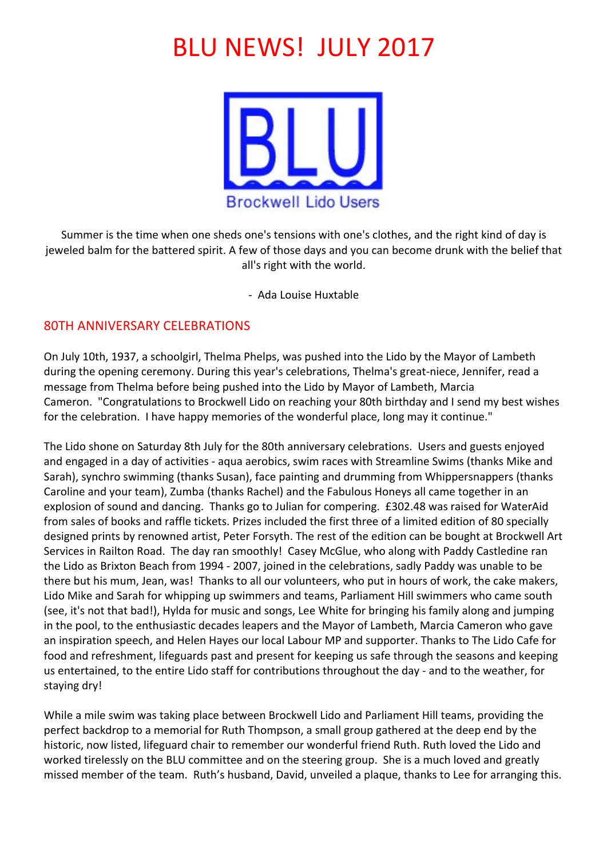# **BLU NEWS! JULY 2017**



Summer is the time when one sheds one's tensions with one's clothes, and the right kind of day is jeweled balm for the battered spirit. A few of those days and you can become drunk with the belief that all's right with the world.

- Ada Louise Huxtable

# 80TH ANNIVERSARY CELEBRATIONS

On July 10th, 1937, a schoolgirl, Thelma Phelps, was pushed into the Lido by the Mayor of Lambeth during the opening ceremony. During this year's celebrations, Thelma's great-niece, Jennifer, read a message from Thelma before being pushed into the Lido by Mayor of Lambeth, Marcia Cameron. "Congratulations to Brockwell Lido on reaching your 80th birthday and I send my best wishes for the celebration. I have happy memories of the wonderful place, long may it continue."

The Lido shone on Saturday 8th July for the 80th anniversary celebrations. Users and guests enjoyed and engaged in a day of activities - aqua aerobics, swim races with Streamline Swims (thanks Mike and Sarah), synchro swimming (thanks Susan), face painting and drumming from Whippersnappers (thanks Caroline and your team), Zumba (thanks Rachel) and the Fabulous Honeys all came together in an explosion of sound and dancing. Thanks go to Julian for compering. £302.48 was raised for WaterAid from sales of books and raffle tickets. Prizes included the first three of a limited edition of 80 specially designed prints by renowned artist, Peter Forsyth. The rest of the edition can be bought at Brockwell Art Services in Railton Road. The day ran smoothly! Casey McGlue, who along with Paddy Castledine ran the Lido as Brixton Beach from 1994 - 2007, joined in the celebrations, sadly Paddy was unable to be there but his mum, Jean, was! Thanks to all our volunteers, who put in hours of work, the cake makers, Lido Mike and Sarah for whipping up swimmers and teams, Parliament Hill swimmers who came south (see, it's not that bad!), Hylda for music and songs, Lee White for bringing his family along and jumping in the pool, to the enthusiastic decades leapers and the Mayor of Lambeth, Marcia Cameron who gave an inspiration speech, and Helen Hayes our local Labour MP and supporter. Thanks to The Lido Cafe for food and refreshment, lifeguards past and present for keeping us safe through the seasons and keeping us entertained, to the entire Lido staff for contributions throughout the day - and to the weather, for staying dry!

While a mile swim was taking place between Brockwell Lido and Parliament Hill teams, providing the perfect backdrop to a memorial for Ruth Thompson, a small group gathered at the deep end by the historic, now listed, lifeguard chair to remember our wonderful friend Ruth. Ruth loved the Lido and worked tirelessly on the BLU committee and on the steering group. She is a much loved and greatly missed member of the team. Ruth's husband, David, unveiled a plaque, thanks to Lee for arranging this.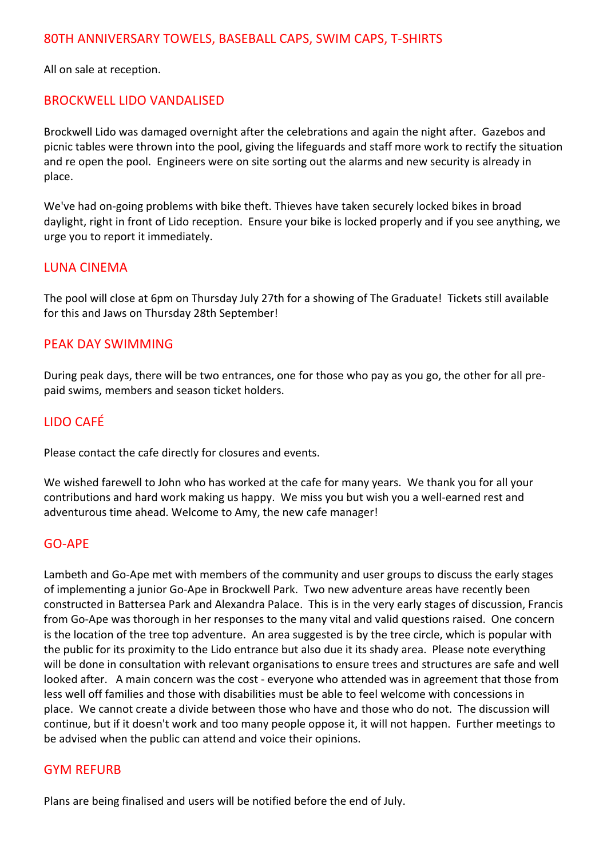All on sale at reception.

# BROCKWELL LIDO VANDALISED

Brockwell Lido was damaged overnight after the celebrations and again the night after. Gazebos and picnic tables were thrown into the pool, giving the lifeguards and staff more work to rectify the situation and re open the pool. Engineers were on site sorting out the alarms and new security is already in place.

We've had on-going problems with bike theft. Thieves have taken securely locked bikes in broad daylight, right in front of Lido reception. Ensure your bike is locked properly and if you see anything, we urge you to report it immediately.

### LUNA CINEMA

The pool will close at 6pm on Thursday July 27th for a showing of The Graduate! Tickets still available for this and Jaws on Thursday 28th September!

#### PEAK DAY SWIMMING

During peak days, there will be two entrances, one for those who pay as you go, the other for all prepaid swims, members and season ticket holders.

# LIDO CAFÉ

Please contact the cafe directly for closures and events.

We wished farewell to John who has worked at the cafe for many years. We thank you for all your contributions and hard work making us happy. We miss you but wish you a well-earned rest and adventurous time ahead. Welcome to Amy, the new cafe manager!

#### GO-APE

Lambeth and Go-Ape met with members of the community and user groups to discuss the early stages of implementing a junior Go-Ape in Brockwell Park. Two new adventure areas have recently been constructed in Battersea Park and Alexandra Palace. This is in the very early stages of discussion, Francis from Go-Ape was thorough in her responses to the many vital and valid questions raised. One concern is the location of the tree top adventure. An area suggested is by the tree circle, which is popular with the public for its proximity to the Lido entrance but also due it its shady area. Please note everything will be done in consultation with relevant organisations to ensure trees and structures are safe and well looked after. A main concern was the cost - everyone who attended was in agreement that those from less well off families and those with disabilities must be able to feel welcome with concessions in place. We cannot create a divide between those who have and those who do not. The discussion will continue, but if it doesn't work and too many people oppose it, it will not happen. Further meetings to be advised when the public can attend and voice their opinions.

#### **GYM REFURB**

Plans are being finalised and users will be notified before the end of July.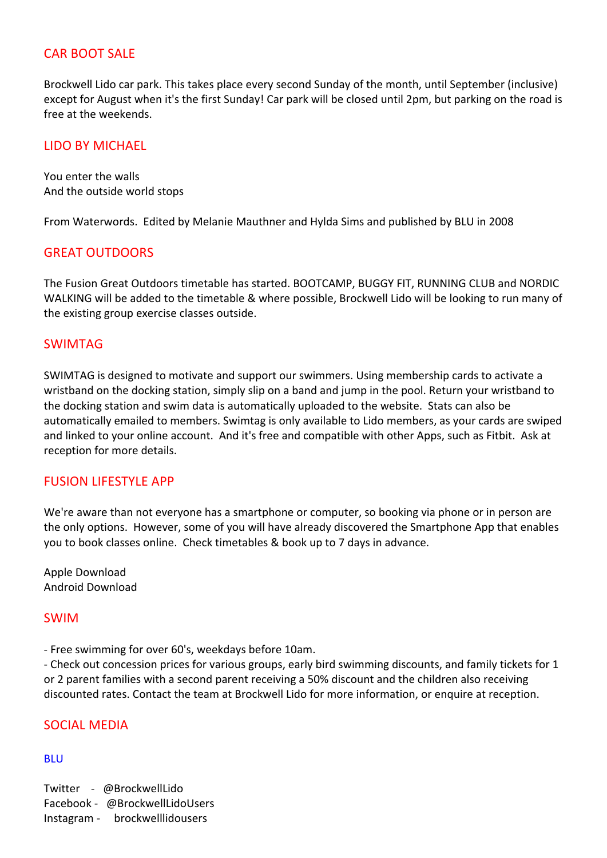### **CAR BOOT SALE**

Brockwell Lido car park. This takes place every second Sunday of the month, until September (inclusive) except for August when it's the first Sunday! Car park will be closed until 2pm, but parking on the road is free at the weekends.

### LIDO BY MICHAEL

You enter the walls And the outside world stops

From Waterwords. Edited by Melanie Mauthner and Hylda Sims and published by BLU in 2008

# **GREAT OUTDOORS**

The Fusion Great Outdoors timetable has started. BOOTCAMP, BUGGY FIT, RUNNING CLUB and NORDIC WALKING will be added to the timetable & where possible, Brockwell Lido will be looking to run many of the existing group exercise classes outside.

### SWIMTAG

SWIMTAG is designed to motivate and support our swimmers. Using membership cards to activate a wristband on the docking station, simply slip on a band and jump in the pool. Return your wristband to the docking station and swim data is automatically uploaded to the website. Stats can also be automatically emailed to members. Swimtag is only available to Lido members, as your cards are swiped and linked to your online account. And it's free and compatible with other Apps, such as Fitbit. Ask at reception for more details.

#### FUSION LIFESTYLE APP

We're aware than not everyone has a smartphone or computer, so booking via phone or in person are the only options. However, some of you will have already discovered the Smartphone App that enables you to book classes online. Check timetables & book up to 7 days in advance.

Apple Download Android Download

#### SWIM

- Free swimming for over 60's, weekdays before 10am.

- Check out concession prices for various groups, early bird swimming discounts, and family tickets for 1 or 2 parent families with a second parent receiving a 50% discount and the children also receiving discounted rates. Contact the team at Brockwell Lido for more information, or enquire at reception.

# SOCIAL MEDIA

#### BLU

Twitter - @BrockwellLido Facebook - @BrockwellLidoUsers Instagram - brockwelllidousers